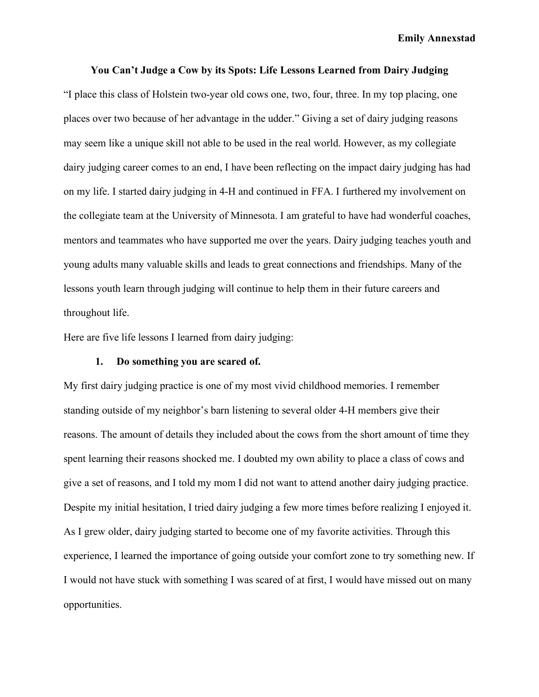**Emily Annexstad**

#### **You Can't Judge a Cow by its Spots: Life Lessons Learned from Dairy Judging**

"I place this class of Holstein two-year old cows one, two, four, three. In my top placing, one places over two because of her advantage in the udder." Giving a set of dairy judging reasons may seem like a unique skill not able to be used in the real world. However, as my collegiate dairy judging career comes to an end, I have been reflecting on the impact dairy judging has had on my life. I started dairy judging in 4-H and continued in FFA. I furthered my involvement on the collegiate team at the University of Minnesota. I am grateful to have had wonderful coaches, mentors and teammates who have supported me over the years. Dairy judging teaches youth and young adults many valuable skills and leads to great connections and friendships. Many of the lessons youth learn through judging will continue to help them in their future careers and throughout life.

Here are five life lessons I learned from dairy judging:

### **1. Do something you are scared of.**

My first dairy judging practice is one of my most vivid childhood memories. I remember standing outside of my neighbor's barn listening to several older 4-H members give their reasons. The amount of details they included about the cows from the short amount of time they spent learning their reasons shocked me. I doubted my own ability to place a class of cows and give a set of reasons, and I told my mom I did not want to attend another dairy judging practice. Despite my initial hesitation, I tried dairy judging a few more times before realizing I enjoyed it. As I grew older, dairy judging started to become one of my favorite activities. Through this experience, I learned the importance of going outside your comfort zone to try something new. If I would not have stuck with something I was scared of at first, I would have missed out on many opportunities.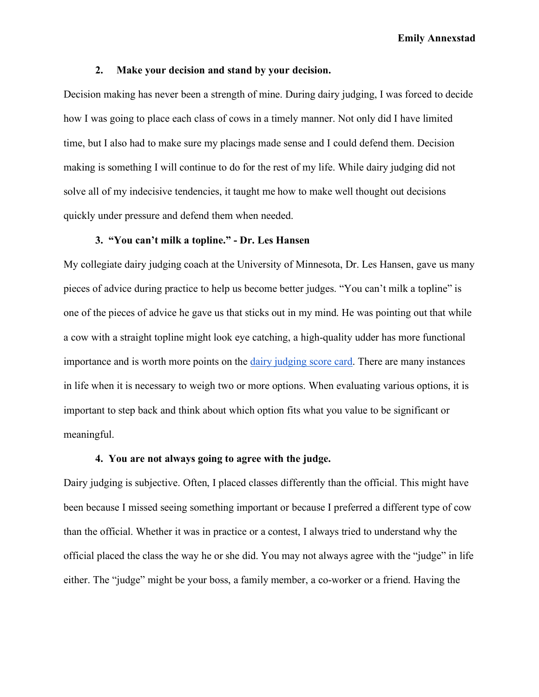**Emily Annexstad**

### **2. Make your decision and stand by your decision.**

Decision making has never been a strength of mine. During dairy judging, I was forced to decide how I was going to place each class of cows in a timely manner. Not only did I have limited time, but I also had to make sure my placings made sense and I could defend them. Decision making is something I will continue to do for the rest of my life. While dairy judging did not solve all of my indecisive tendencies, it taught me how to make well thought out decisions quickly under pressure and defend them when needed.

#### **3. "You can't milk a topline." - Dr. Les Hansen**

My collegiate dairy judging coach at the University of Minnesota, Dr. Les Hansen, gave us many pieces of advice during practice to help us become better judges. "You can't milk a topline" is one of the pieces of advice he gave us that sticks out in my mind. He was pointing out that while a cow with a straight topline might look eye catching, a high-quality udder has more functional importance and is worth more points on the dairy judging score card. There are many instances in life when it is necessary to weigh two or more options. When evaluating various options, it is important to step back and think about which option fits what you value to be significant or meaningful.

## **4. You are not always going to agree with the judge.**

Dairy judging is subjective. Often, I placed classes differently than the official. This might have been because I missed seeing something important or because I preferred a different type of cow than the official. Whether it was in practice or a contest, I always tried to understand why the official placed the class the way he or she did. You may not always agree with the "judge" in life either. The "judge" might be your boss, a family member, a co-worker or a friend. Having the